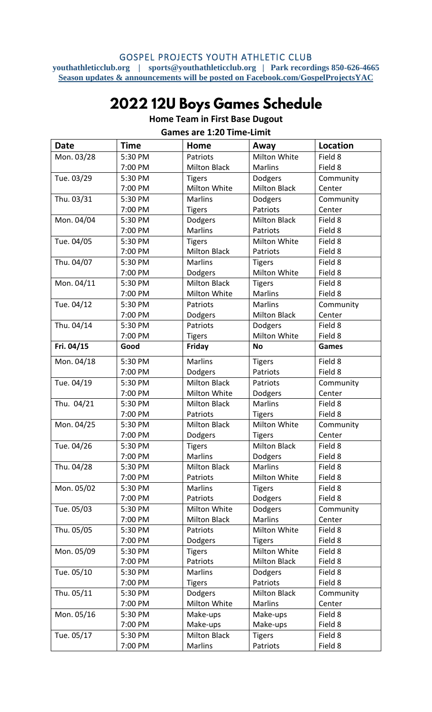#### GOSPEL PROJECTS YOUTH ATHLETIC CLUB

**youthathleticclub.org | sports@youthathleticclub.org | Park recordings 850-626-4665 Season updates & announcements will be posted on Facebook.com/GospelProjectsYAC**

# 2022 12U Boys Games Schedule

| <b>Date</b> | <b>Time</b> | Home                | Away                | <b>Location</b> |
|-------------|-------------|---------------------|---------------------|-----------------|
| Mon. 03/28  | 5:30 PM     | Patriots            | Milton White        | Field 8         |
|             | 7:00 PM     | <b>Milton Black</b> | <b>Marlins</b>      | Field 8         |
| Tue. 03/29  | 5:30 PM     | <b>Tigers</b>       | Dodgers             | Community       |
|             | 7:00 PM     | Milton White        | <b>Milton Black</b> | Center          |
| Thu. 03/31  | 5:30 PM     | <b>Marlins</b>      | Dodgers             | Community       |
|             | 7:00 PM     | <b>Tigers</b>       | Patriots            | Center          |
| Mon. 04/04  | 5:30 PM     | Dodgers             | <b>Milton Black</b> | Field 8         |
|             | 7:00 PM     | <b>Marlins</b>      | Patriots            | Field 8         |
| Tue. 04/05  | 5:30 PM     | <b>Tigers</b>       | Milton White        | Field 8         |
|             | 7:00 PM     | <b>Milton Black</b> | Patriots            | Field 8         |
| Thu. 04/07  | 5:30 PM     | <b>Marlins</b>      | <b>Tigers</b>       | Field 8         |
|             | 7:00 PM     | Dodgers             | Milton White        | Field 8         |
| Mon. 04/11  | 5:30 PM     | <b>Milton Black</b> | <b>Tigers</b>       | Field 8         |
|             | 7:00 PM     | Milton White        | <b>Marlins</b>      | Field 8         |
| Tue. 04/12  | 5:30 PM     | Patriots            | <b>Marlins</b>      | Community       |
|             | 7:00 PM     | Dodgers             | <b>Milton Black</b> | Center          |
| Thu. 04/14  | 5:30 PM     | Patriots            | Dodgers             | Field 8         |
|             | 7:00 PM     | <b>Tigers</b>       | Milton White        | Field 8         |
| Fri. 04/15  | Good        | <b>Friday</b>       | <b>No</b>           | <b>Games</b>    |
| Mon. 04/18  | 5:30 PM     | <b>Marlins</b>      | <b>Tigers</b>       | Field 8         |
|             | 7:00 PM     | Dodgers             | Patriots            | Field 8         |
| Tue. 04/19  | 5:30 PM     | <b>Milton Black</b> | <b>Patriots</b>     | Community       |
|             | 7:00 PM     | Milton White        | Dodgers             | Center          |
| Thu. 04/21  | 5:30 PM     | <b>Milton Black</b> | <b>Marlins</b>      | Field 8         |
|             | 7:00 PM     | Patriots            | <b>Tigers</b>       | Field 8         |
| Mon. 04/25  | 5:30 PM     | <b>Milton Black</b> | Milton White        | Community       |
|             | 7:00 PM     | Dodgers             | <b>Tigers</b>       | Center          |
| Tue. 04/26  | 5:30 PM     | <b>Tigers</b>       | <b>Milton Black</b> | Field 8         |
|             | 7:00 PM     | <b>Marlins</b>      | Dodgers             | Field 8         |
| Thu. 04/28  | 5:30 PM     | <b>Milton Black</b> | Marlins             | Field 8         |
|             | 7:00 PM     | Patriots            | Milton White        | Field 8         |
| Mon. 05/02  | 5:30 PM     | <b>Marlins</b>      | <b>Tigers</b>       | Field 8         |
|             | 7:00 PM     | Patriots            | Dodgers             | Field 8         |
| Tue. 05/03  | 5:30 PM     | Milton White        | Dodgers             | Community       |
|             | 7:00 PM     | <b>Milton Black</b> | Marlins             | Center          |
| Thu. 05/05  | 5:30 PM     | Patriots            | Milton White        | Field 8         |
|             | 7:00 PM     | Dodgers             | <b>Tigers</b>       | Field 8         |
| Mon. 05/09  | 5:30 PM     | <b>Tigers</b>       | Milton White        | Field 8         |
|             | 7:00 PM     | Patriots            | <b>Milton Black</b> | Field 8         |
| Tue. 05/10  | 5:30 PM     | <b>Marlins</b>      | Dodgers             | Field 8         |
|             | 7:00 PM     | <b>Tigers</b>       | Patriots            | Field 8         |
| Thu. 05/11  | 5:30 PM     | Dodgers             | <b>Milton Black</b> | Community       |
|             | 7:00 PM     | Milton White        | <b>Marlins</b>      | Center          |
| Mon. 05/16  | 5:30 PM     | Make-ups            | Make-ups            | Field 8         |
|             | 7:00 PM     | Make-ups            | Make-ups            | Field 8         |
| Tue. 05/17  | 5:30 PM     | <b>Milton Black</b> | <b>Tigers</b>       | Field 8         |
|             | 7:00 PM     | Marlins             | Patriots            | Field 8         |

#### **Home Team in First Base Dugout Games are 1:20 Time-Limit**